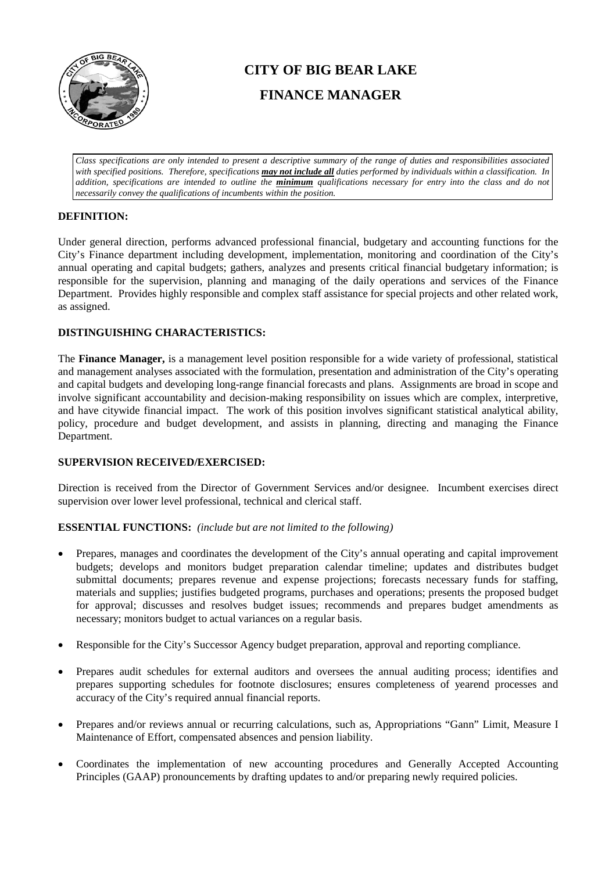

# **CITY OF BIG BEAR LAKE FINANCE MANAGER**

*Class specifications are only intended to present a descriptive summary of the range of duties and responsibilities associated with specified positions. Therefore, specifications may not include all duties performed by individuals within a classification. In addition, specifications are intended to outline the minimum qualifications necessary for entry into the class and do not necessarily convey the qualifications of incumbents within the position.*

# **DEFINITION:**

Under general direction, performs advanced professional financial, budgetary and accounting functions for the City's Finance department including development, implementation, monitoring and coordination of the City's annual operating and capital budgets; gathers, analyzes and presents critical financial budgetary information; is responsible for the supervision, planning and managing of the daily operations and services of the Finance Department. Provides highly responsible and complex staff assistance for special projects and other related work, as assigned.

## **DISTINGUISHING CHARACTERISTICS:**

The **Finance Manager,** is a management level position responsible for a wide variety of professional, statistical and management analyses associated with the formulation, presentation and administration of the City's operating and capital budgets and developing long-range financial forecasts and plans. Assignments are broad in scope and involve significant accountability and decision-making responsibility on issues which are complex, interpretive, and have citywide financial impact. The work of this position involves significant statistical analytical ability, policy, procedure and budget development, and assists in planning, directing and managing the Finance Department.

## **SUPERVISION RECEIVED/EXERCISED:**

Direction is received from the Director of Government Services and/or designee. Incumbent exercises direct supervision over lower level professional, technical and clerical staff.

## **ESSENTIAL FUNCTIONS:** *(include but are not limited to the following)*

- Prepares, manages and coordinates the development of the City's annual operating and capital improvement budgets; develops and monitors budget preparation calendar timeline; updates and distributes budget submittal documents; prepares revenue and expense projections; forecasts necessary funds for staffing, materials and supplies; justifies budgeted programs, purchases and operations; presents the proposed budget for approval; discusses and resolves budget issues; recommends and prepares budget amendments as necessary; monitors budget to actual variances on a regular basis.
- Responsible for the City's Successor Agency budget preparation, approval and reporting compliance.
- Prepares audit schedules for external auditors and oversees the annual auditing process; identifies and prepares supporting schedules for footnote disclosures; ensures completeness of yearend processes and accuracy of the City's required annual financial reports.
- Prepares and/or reviews annual or recurring calculations, such as, Appropriations "Gann" Limit, Measure I Maintenance of Effort, compensated absences and pension liability.
- Coordinates the implementation of new accounting procedures and Generally Accepted Accounting Principles (GAAP) pronouncements by drafting updates to and/or preparing newly required policies.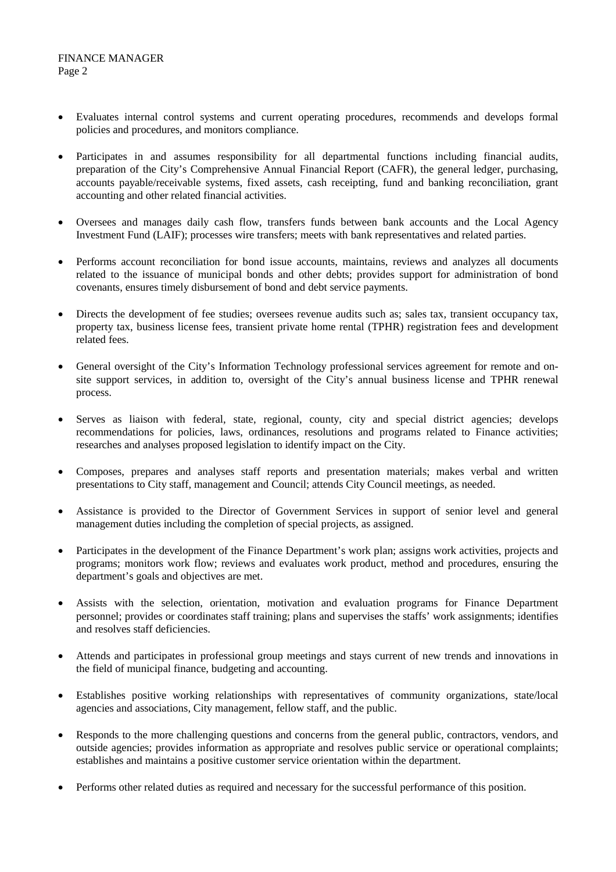- Evaluates internal control systems and current operating procedures, recommends and develops formal policies and procedures, and monitors compliance.
- Participates in and assumes responsibility for all departmental functions including financial audits, preparation of the City's Comprehensive Annual Financial Report (CAFR), the general ledger, purchasing, accounts payable/receivable systems, fixed assets, cash receipting, fund and banking reconciliation, grant accounting and other related financial activities.
- Oversees and manages daily cash flow, transfers funds between bank accounts and the Local Agency Investment Fund (LAIF); processes wire transfers; meets with bank representatives and related parties.
- Performs account reconciliation for bond issue accounts, maintains, reviews and analyzes all documents related to the issuance of municipal bonds and other debts; provides support for administration of bond covenants, ensures timely disbursement of bond and debt service payments.
- Directs the development of fee studies; oversees revenue audits such as; sales tax, transient occupancy tax, property tax, business license fees, transient private home rental (TPHR) registration fees and development related fees.
- General oversight of the City's Information Technology professional services agreement for remote and onsite support services, in addition to, oversight of the City's annual business license and TPHR renewal process.
- Serves as liaison with federal, state, regional, county, city and special district agencies; develops recommendations for policies, laws, ordinances, resolutions and programs related to Finance activities; researches and analyses proposed legislation to identify impact on the City.
- Composes, prepares and analyses staff reports and presentation materials; makes verbal and written presentations to City staff, management and Council; attends City Council meetings, as needed.
- Assistance is provided to the Director of Government Services in support of senior level and general management duties including the completion of special projects, as assigned.
- Participates in the development of the Finance Department's work plan; assigns work activities, projects and programs; monitors work flow; reviews and evaluates work product, method and procedures, ensuring the department's goals and objectives are met.
- Assists with the selection, orientation, motivation and evaluation programs for Finance Department personnel; provides or coordinates staff training; plans and supervises the staffs' work assignments; identifies and resolves staff deficiencies.
- Attends and participates in professional group meetings and stays current of new trends and innovations in the field of municipal finance, budgeting and accounting.
- Establishes positive working relationships with representatives of community organizations, state/local agencies and associations, City management, fellow staff, and the public.
- Responds to the more challenging questions and concerns from the general public, contractors, vendors, and outside agencies; provides information as appropriate and resolves public service or operational complaints; establishes and maintains a positive customer service orientation within the department.
- Performs other related duties as required and necessary for the successful performance of this position.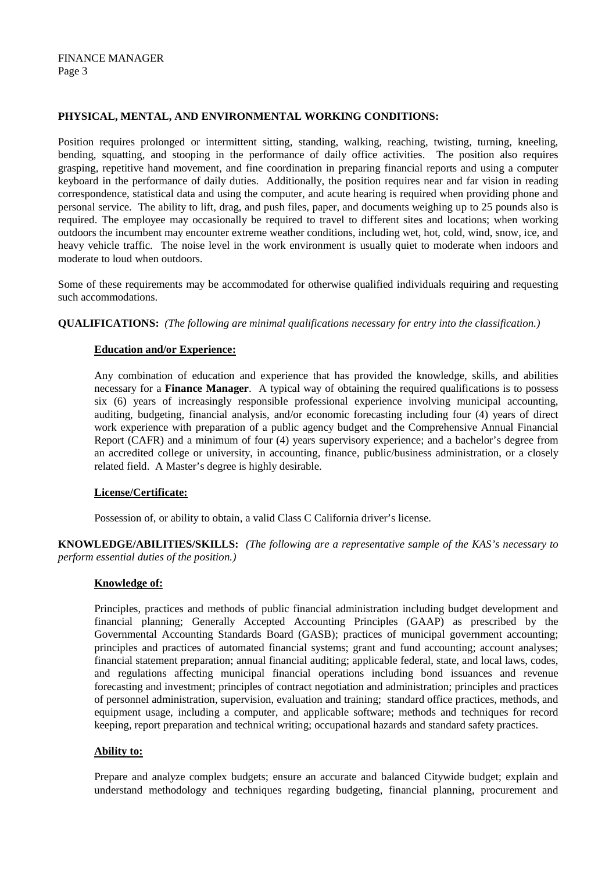#### **PHYSICAL, MENTAL, AND ENVIRONMENTAL WORKING CONDITIONS:**

Position requires prolonged or intermittent sitting, standing, walking, reaching, twisting, turning, kneeling, bending, squatting, and stooping in the performance of daily office activities. The position also requires grasping, repetitive hand movement, and fine coordination in preparing financial reports and using a computer keyboard in the performance of daily duties. Additionally, the position requires near and far vision in reading correspondence, statistical data and using the computer, and acute hearing is required when providing phone and personal service. The ability to lift, drag, and push files, paper, and documents weighing up to 25 pounds also is required. The employee may occasionally be required to travel to different sites and locations; when working outdoors the incumbent may encounter extreme weather conditions, including wet, hot, cold, wind, snow, ice, and heavy vehicle traffic. The noise level in the work environment is usually quiet to moderate when indoors and moderate to loud when outdoors.

Some of these requirements may be accommodated for otherwise qualified individuals requiring and requesting such accommodations.

**QUALIFICATIONS:** *(The following are minimal qualifications necessary for entry into the classification.)*

#### **Education and/or Experience:**

Any combination of education and experience that has provided the knowledge, skills, and abilities necessary for a **Finance Manager**. A typical way of obtaining the required qualifications is to possess six (6) years of increasingly responsible professional experience involving municipal accounting, auditing, budgeting, financial analysis, and/or economic forecasting including four (4) years of direct work experience with preparation of a public agency budget and the Comprehensive Annual Financial Report (CAFR) and a minimum of four (4) years supervisory experience; and a bachelor's degree from an accredited college or university, in accounting, finance, public/business administration, or a closely related field. A Master's degree is highly desirable.

## **License/Certificate:**

Possession of, or ability to obtain, a valid Class C California driver's license.

**KNOWLEDGE/ABILITIES/SKILLS:** *(The following are a representative sample of the KAS's necessary to perform essential duties of the position.)*

#### **Knowledge of:**

Principles, practices and methods of public financial administration including budget development and financial planning; Generally Accepted Accounting Principles (GAAP) as prescribed by the Governmental Accounting Standards Board (GASB); practices of municipal government accounting; principles and practices of automated financial systems; grant and fund accounting; account analyses; financial statement preparation; annual financial auditing; applicable federal, state, and local laws, codes, and regulations affecting municipal financial operations including bond issuances and revenue forecasting and investment; principles of contract negotiation and administration; principles and practices of personnel administration, supervision, evaluation and training; standard office practices, methods, and equipment usage, including a computer, and applicable software; methods and techniques for record keeping, report preparation and technical writing; occupational hazards and standard safety practices.

#### **Ability to:**

Prepare and analyze complex budgets; ensure an accurate and balanced Citywide budget; explain and understand methodology and techniques regarding budgeting, financial planning, procurement and